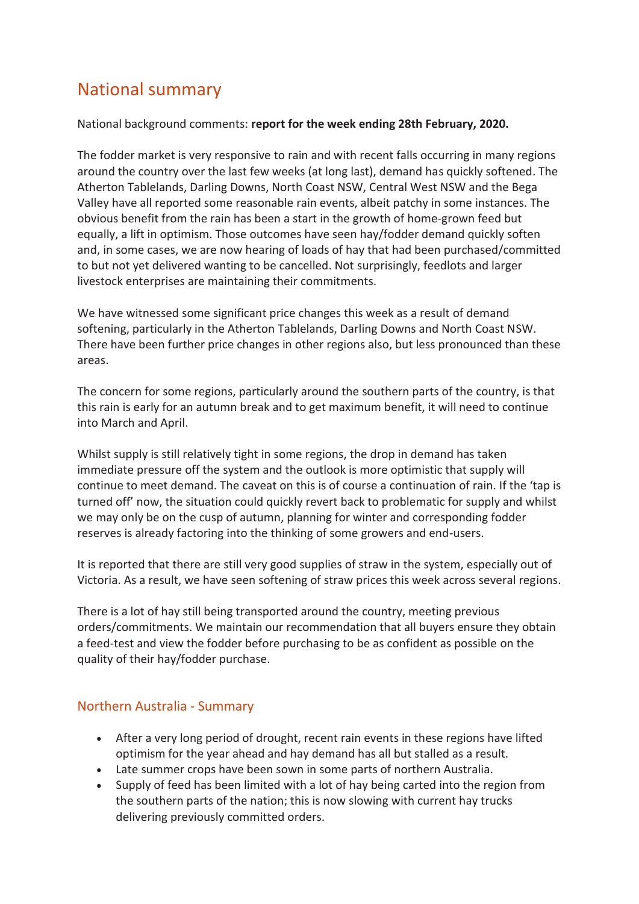# National summary

#### National background comments: **report for the week ending 28th February, 2020.**

The fodder market is very responsive to rain and with recent falls occurring in many regions around the country over the last few weeks (at long last), demand has quickly softened. The Atherton Tablelands, Darling Downs, North Coast NSW, Central West NSW and the Bega Valley have all reported some reasonable rain events, albeit patchy in some instances. The obvious benefit from the rain has been a start in the growth of home-grown feed but equally, a lift in optimism. Those outcomes have seen hay/fodder demand quickly soften and, in some cases, we are now hearing of loads of hay that had been purchased/committed to but not yet delivered wanting to be cancelled. Not surprisingly, feedlots and larger livestock enterprises are maintaining their commitments.

We have witnessed some significant price changes this week as a result of demand softening, particularly in the Atherton Tablelands, Darling Downs and North Coast NSW. There have been further price changes in other regions also, but less pronounced than these areas.

The concern for some regions, particularly around the southern parts of the country, is that this rain is early for an autumn break and to get maximum benefit, it will need to continue into March and April.

Whilst supply is still relatively tight in some regions, the drop in demand has taken immediate pressure off the system and the outlook is more optimistic that supply will continue to meet demand. The caveat on this is of course a continuation of rain. If the 'tap is turned off' now, the situation could quickly revert back to problematic for supply and whilst we may only be on the cusp of autumn, planning for winter and corresponding fodder reserves is already factoring into the thinking of some growers and end-users.

It is reported that there are still very good supplies of straw in the system, especially out of Victoria. As a result, we have seen softening of straw prices this week across several regions.

There is a lot of hay still being transported around the country, meeting previous orders/commitments. We maintain our recommendation that all buyers ensure they obtain a feed-test and view the fodder before purchasing to be as confident as possible on the quality of their hay/fodder purchase.

### Northern Australia - Summary

- After a very long period of drought, recent rain events in these regions have lifted optimism for the year ahead and hay demand has all but stalled as a result.
- Late summer crops have been sown in some parts of northern Australia.
- Supply of feed has been limited with a lot of hay being carted into the region from the southern parts of the nation; this is now slowing with current hay trucks delivering previously committed orders.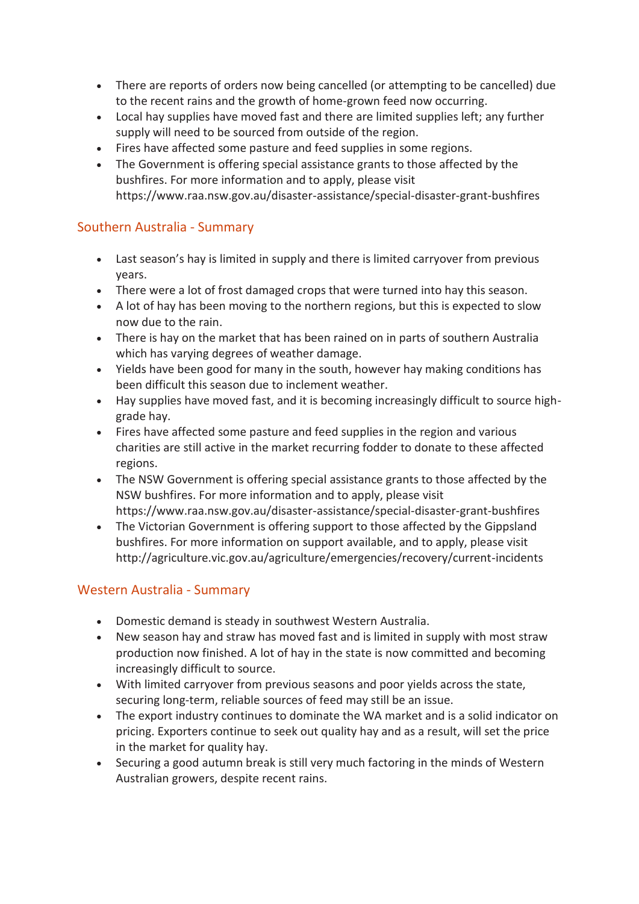- There are reports of orders now being cancelled (or attempting to be cancelled) due to the recent rains and the growth of home-grown feed now occurring.
- Local hay supplies have moved fast and there are limited supplies left; any further supply will need to be sourced from outside of the region.
- Fires have affected some pasture and feed supplies in some regions.
- The Government is offering special assistance grants to those affected by the bushfires. For more information and to apply, please visit https://www.raa.nsw.gov.au/disaster-assistance/special-disaster-grant-bushfires

### Southern Australia - Summary

- Last season's hay is limited in supply and there is limited carryover from previous years.
- There were a lot of frost damaged crops that were turned into hay this season.
- A lot of hay has been moving to the northern regions, but this is expected to slow now due to the rain.
- There is hay on the market that has been rained on in parts of southern Australia which has varying degrees of weather damage.
- Yields have been good for many in the south, however hay making conditions has been difficult this season due to inclement weather.
- Hay supplies have moved fast, and it is becoming increasingly difficult to source highgrade hay.
- Fires have affected some pasture and feed supplies in the region and various charities are still active in the market recurring fodder to donate to these affected regions.
- The NSW Government is offering special assistance grants to those affected by the NSW bushfires. For more information and to apply, please visit https://www.raa.nsw.gov.au/disaster-assistance/special-disaster-grant-bushfires
- The Victorian Government is offering support to those affected by the Gippsland bushfires. For more information on support available, and to apply, please visit http://agriculture.vic.gov.au/agriculture/emergencies/recovery/current-incidents

## Western Australia - Summary

- Domestic demand is steady in southwest Western Australia.
- New season hay and straw has moved fast and is limited in supply with most straw production now finished. A lot of hay in the state is now committed and becoming increasingly difficult to source.
- With limited carryover from previous seasons and poor yields across the state, securing long-term, reliable sources of feed may still be an issue.
- The export industry continues to dominate the WA market and is a solid indicator on pricing. Exporters continue to seek out quality hay and as a result, will set the price in the market for quality hay.
- Securing a good autumn break is still very much factoring in the minds of Western Australian growers, despite recent rains.